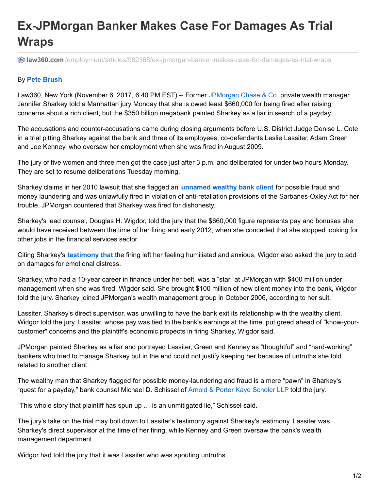## **Ex-JPMorgan Banker Makes Case For Damages As Trial Wraps**

**law360.com** [/employment/articles/982368/ex-jpmorgan-banker-makes-case-for-damages-as-trial-wraps](https://www.law360.com/employment/articles/982368/ex-jpmorgan-banker-makes-case-for-damages-as-trial-wraps?nl_pk=a417669e-7104-47f3-b9b9-6dd7e2d41456&utm_source=newsletter&utm_medium=email&utm_campaign=employment)

## By **Pete Brush**

Law360, New York (November 6, 2017, 6:40 PM EST) -- Former [JPMorgan](https://www.law360.com/companies/jpmorgan-chase-co) Chase & Co. private wealth manager Jennifer Sharkey told a Manhattan jury Monday that she is owed least \$660,000 for being fired after raising concerns about a rich client, but the \$350 billion megabank painted Sharkey as a liar in search of a payday.

The accusations and counter-accusations came during closing arguments before U.S. District Judge Denise L. Cote in a trial pitting Sharkey against the bank and three of its employees, co-defendants Leslie Lassiter, Adam Green and Joe Kenney, who oversaw her employment when she was fired in August 2009.

The jury of five women and three men got the case just after 3 p.m. and deliberated for under two hours Monday. They are set to resume deliberations Tuesday morning.

Sharkey claims in her 2010 lawsuit that she flagged an **[unnamed](https://www.law360.com/articles/980649/jpmorgan-client-says-atty-should-be-charged-with-contempt) wealthy bank client** for possible fraud and money laundering and was unlawfully fired in violation of anti-retaliation provisions of the Sarbanes-Oxley Act for her trouble. JPMorgan countered that Sharkey was fired for dishonesty.

Sharkey's lead counsel, Douglas H. Wigdor, told the jury that the \$660,000 figure represents pay and bonuses she would have received between the time of her firing and early 2012, when she conceded that she stopped looking for other jobs in the financial services sector.

Citing Sharkey's **[testimony](https://www.law360.com/articles/980178/fired-jpmorgan-banker-tells-jury-of-extreme-anxiety-) that** the firing left her feeling humiliated and anxious, Wigdor also asked the jury to add on damages for emotional distress.

Sharkey, who had a 10-year career in finance under her belt, was a "star" at JPMorgan with \$400 million under management when she was fired, Wigdor said. She brought \$100 million of new client money into the bank, Wigdor told the jury. Sharkey joined JPMorgan's wealth management group in October 2006, according to her suit.

Lassiter, Sharkey's direct supervisor, was unwilling to have the bank exit its relationship with the wealthy client, Widgor told the jury. Lassiter, whose pay was tied to the bank's earnings at the time, put greed ahead of "know-yourcustomer" concerns and the plaintiff's economic propects in firing Sharkey, Wigdor said.

JPMorgan painted Sharkey as a liar and portrayed Lassiter, Green and Kenney as "thoughtful" and "hard-working" bankers who tried to manage Sharkey but in the end could not justify keeping her because of untruths she told related to another client.

The wealthy man that Sharkey flagged for possible money-laundering and fraud is a mere "pawn" in Sharkey's "quest for a payday," bank counsel Michael D. Schissel of Arnold & Porter Kaye [Scholer](https://www.law360.com/firms/arnold-porter-kaye-scholer) LLP told the jury.

"This whole story that plaintiff has spun up … is an unmitigated lie," Schissel said.

The jury's take on the trial may boil down to Lassiter's testimony against Sharkey's testimony. Lassiter was Sharkey's direct supervisor at the time of her firing, while Kenney and Green oversaw the bank's wealth management department.

Widgor had told the jury that it was Lassiter who was spouting untruths.